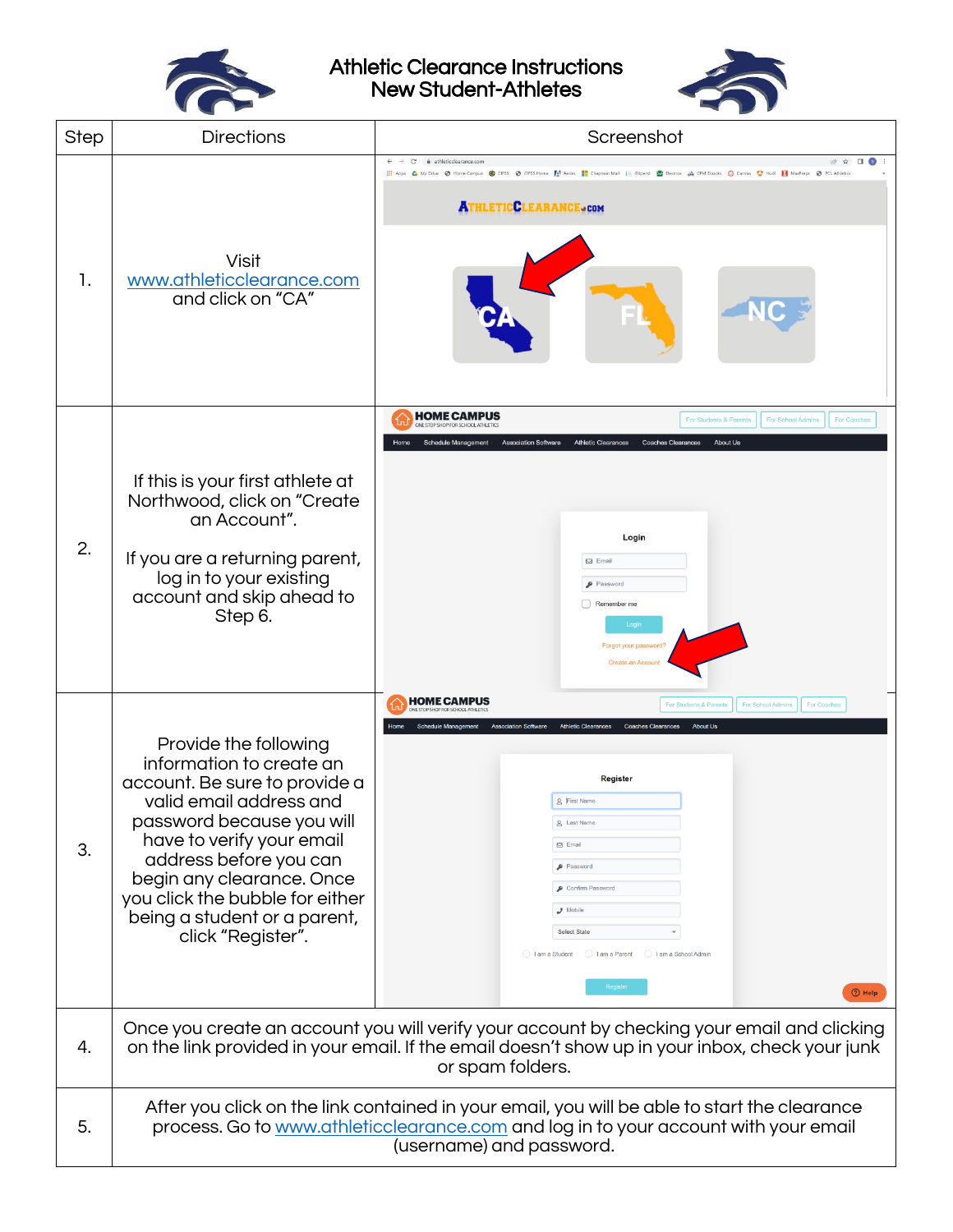

Athletic Clearance Instructions New Student-Athletes



| <b>Step</b> | <b>Directions</b>                                                                                                                                                                                                                                                                                                      | Screenshot                                                                                                                                                                                                                                                                                                                                                                                                           |  |
|-------------|------------------------------------------------------------------------------------------------------------------------------------------------------------------------------------------------------------------------------------------------------------------------------------------------------------------------|----------------------------------------------------------------------------------------------------------------------------------------------------------------------------------------------------------------------------------------------------------------------------------------------------------------------------------------------------------------------------------------------------------------------|--|
| 1.          | Visit<br>www.athleticclearance.com<br>and click on "CA"                                                                                                                                                                                                                                                                | # athleticclearance.com<br>C<br><b>EL</b> Apps & My Drive <ampus<br>C CIFSS @ CIFSS Home   Anties   Acres   Chapman Mail   Stipend   Desmos   CHK Ebooks   C Camvas   C Hudi   MaxPreps   C PCL Athletics<br/><b>ATHLETICCLEARANCE.com</b></ampus<br>                                                                                                                                                                |  |
| 2.          | If this is your first athlete at<br>Northwood, click on "Create<br>an Account".<br>If you are a returning parent,<br>log in to your existing<br>account and skip ahead to<br>Step 6.                                                                                                                                   | <b>HOME CAMPUS</b><br>For Students & Par<br>For School Admins<br>For Coache<br><b>Athletic Clearances</b><br><b>About Us</b><br><b>Schedule Management</b><br><b>Association Software</b><br><b>Coaches Clearances</b><br>Login<br>$\boxtimes$ Email<br>Password<br>Remember me<br>Logis<br>Forgot your password<br>Create an Acco                                                                                   |  |
| 3.          | Provide the following<br>information to create an<br>account. Be sure to provide a<br>valid email address and<br>password because you will<br>have to verify your email<br>address before you can<br>begin any clearance. Once<br>you click the bubble for either<br>being a student or a parent,<br>click "Register". | <b>HOME CAMPUS</b><br><b>For Coaches</b><br>For Students & Pa<br><b>For School Admins</b><br><b>Athletic Clearances</b><br><b>Coaches Clearances</b><br><b>About Us</b><br>ation Software<br><b>Register</b><br>g First Name<br>g Last Name<br><b>⊠</b> Email<br>Password<br>Confirm Password<br>$J$ Mobile<br><b>Select State</b><br>I am a Student<br>I am a Parent<br>I am a School Admin<br>Register<br>$③$ Help |  |
| 4.          | Once you create an account you will verify your account by checking your email and clicking<br>on the link provided in your email. If the email doesn't show up in your inbox, check your junk<br>or spam folders.                                                                                                     |                                                                                                                                                                                                                                                                                                                                                                                                                      |  |
| 5.          | After you click on the link contained in your email, you will be able to start the clearance<br>process. Go to www.athleticclearance.com and log in to your account with your email<br>(username) and password.                                                                                                        |                                                                                                                                                                                                                                                                                                                                                                                                                      |  |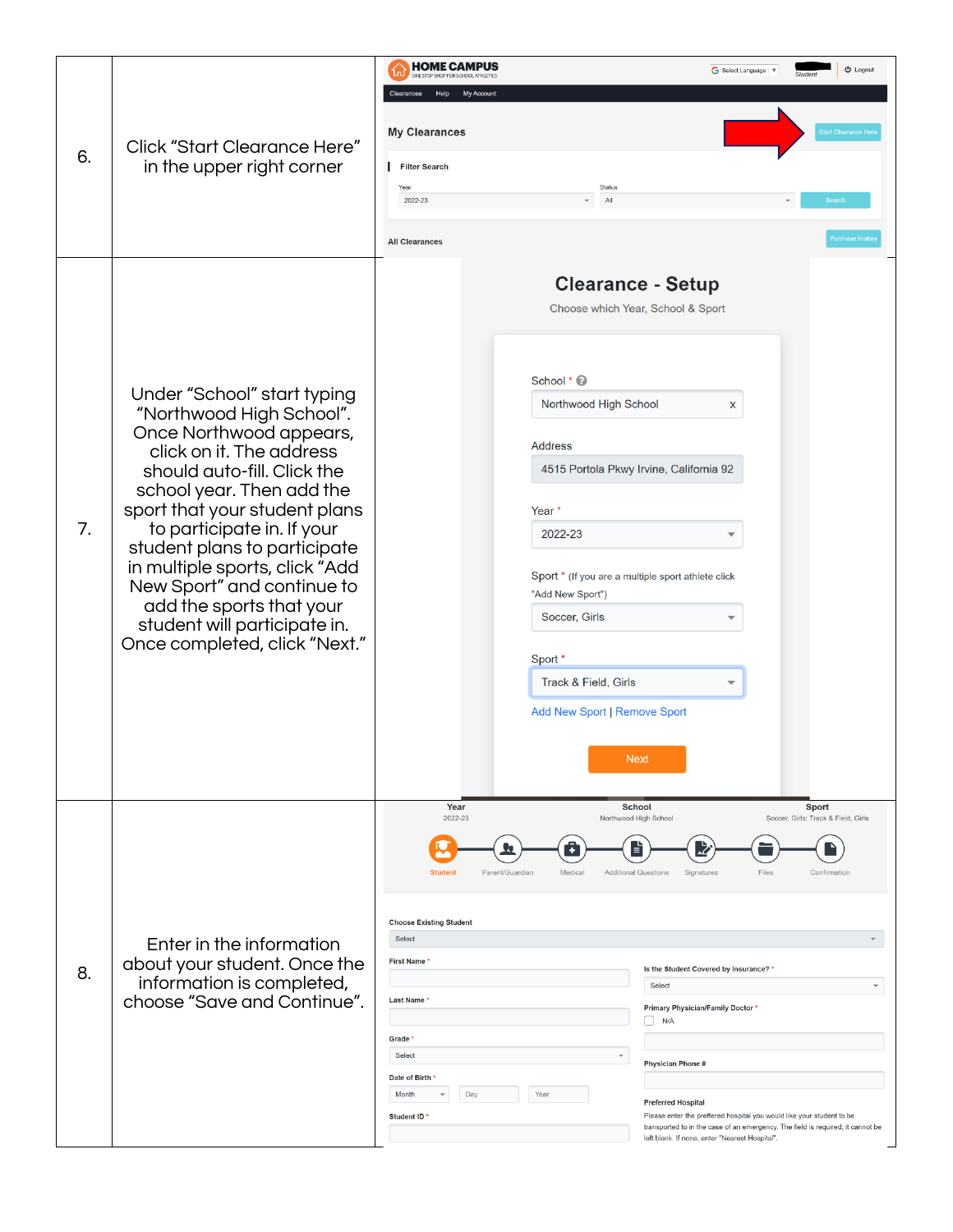|    | Click "Start Clearance Here"<br>in the upper right corner                                                                                                                                                                                                | <b>HOME CAMPUS</b><br>ONE STOP SHOP FOR SCHOOL ATHLETICS | <b>少</b> Logout<br>G Select Language   $\nabla$                                                                                                                                       |
|----|----------------------------------------------------------------------------------------------------------------------------------------------------------------------------------------------------------------------------------------------------------|----------------------------------------------------------|---------------------------------------------------------------------------------------------------------------------------------------------------------------------------------------|
| 6. |                                                                                                                                                                                                                                                          | My Account<br>Clearances<br>Help                         |                                                                                                                                                                                       |
|    |                                                                                                                                                                                                                                                          | <b>My Clearances</b>                                     | <b>Start Clearance H</b>                                                                                                                                                              |
|    |                                                                                                                                                                                                                                                          | <b>Filter Search</b>                                     |                                                                                                                                                                                       |
|    |                                                                                                                                                                                                                                                          | Year<br>Status<br>All<br>2022-23                         | Search                                                                                                                                                                                |
|    |                                                                                                                                                                                                                                                          | <b>All Clearances</b>                                    | Purchase Histo                                                                                                                                                                        |
|    | Under "School" start typing<br>"Northwood High School".<br>Once Northwood appears,<br>click on it. The address<br>should auto-fill. Click the                                                                                                            |                                                          | <b>Clearance - Setup</b>                                                                                                                                                              |
|    |                                                                                                                                                                                                                                                          |                                                          | Choose which Year, School & Sport                                                                                                                                                     |
|    |                                                                                                                                                                                                                                                          |                                                          |                                                                                                                                                                                       |
|    |                                                                                                                                                                                                                                                          | School * 2                                               |                                                                                                                                                                                       |
|    |                                                                                                                                                                                                                                                          | Northwood High School                                    | x                                                                                                                                                                                     |
|    |                                                                                                                                                                                                                                                          | <b>Address</b>                                           |                                                                                                                                                                                       |
|    |                                                                                                                                                                                                                                                          |                                                          | 4515 Portola Pkwy Irvine, California 92                                                                                                                                               |
|    | school year. Then add the                                                                                                                                                                                                                                |                                                          |                                                                                                                                                                                       |
| 7. | sport that your student plans<br>to participate in. If your<br>student plans to participate<br>in multiple sports, click "Add<br>New Sport" and continue to<br>add the sports that your<br>student will participate in.<br>Once completed, click "Next." | Year *<br>2022-23                                        |                                                                                                                                                                                       |
|    |                                                                                                                                                                                                                                                          |                                                          |                                                                                                                                                                                       |
|    |                                                                                                                                                                                                                                                          | "Add New Sport")                                         | Sport * (If you are a multiple sport athlete click                                                                                                                                    |
|    |                                                                                                                                                                                                                                                          | Soccer, Girls                                            |                                                                                                                                                                                       |
|    |                                                                                                                                                                                                                                                          | Sport *                                                  |                                                                                                                                                                                       |
|    |                                                                                                                                                                                                                                                          | Track & Field, Girls                                     |                                                                                                                                                                                       |
|    |                                                                                                                                                                                                                                                          |                                                          | <b>Add New Sport   Remove Sport</b>                                                                                                                                                   |
|    |                                                                                                                                                                                                                                                          |                                                          |                                                                                                                                                                                       |
|    |                                                                                                                                                                                                                                                          |                                                          | <b>Next</b>                                                                                                                                                                           |
|    |                                                                                                                                                                                                                                                          | Year<br>2022-23                                          | <b>School</b><br>Sport<br>Northwood High School<br>Soccer, Girls; Track & Field, Girls                                                                                                |
|    | Enter in the information<br>about your student. Once the<br>information is completed,<br>choose "Save and Continue".                                                                                                                                     |                                                          |                                                                                                                                                                                       |
|    |                                                                                                                                                                                                                                                          | <b>Student</b><br>Parent/Guardian<br>Medical             | <b>Additional Questions</b><br>Files<br>Signatures<br>Confirmation                                                                                                                    |
|    |                                                                                                                                                                                                                                                          |                                                          |                                                                                                                                                                                       |
|    |                                                                                                                                                                                                                                                          | <b>Choose Existing Student</b><br>Select                 |                                                                                                                                                                                       |
| 8. |                                                                                                                                                                                                                                                          | <b>First Name</b>                                        | Is the Student Covered by Insurance? *                                                                                                                                                |
|    |                                                                                                                                                                                                                                                          | Last Name *                                              | Select<br><b>Primary Physician/Family Doctor *</b>                                                                                                                                    |
|    |                                                                                                                                                                                                                                                          | Grade <sup>*</sup>                                       | N/A                                                                                                                                                                                   |
|    |                                                                                                                                                                                                                                                          | Select                                                   | $\overline{\phantom{a}}$<br><b>Physician Phone#</b>                                                                                                                                   |
|    |                                                                                                                                                                                                                                                          | Date of Birth<br>Day<br>Year<br>Month                    |                                                                                                                                                                                       |
|    |                                                                                                                                                                                                                                                          | Student ID'                                              | <b>Preferred Hospital</b><br>Please enter the preffered hospital you would like your student to be<br>transported to in the case of an emergency. The field is required; it cannot be |
|    |                                                                                                                                                                                                                                                          |                                                          | left blank. If none, enter "Nearest Hospital".                                                                                                                                        |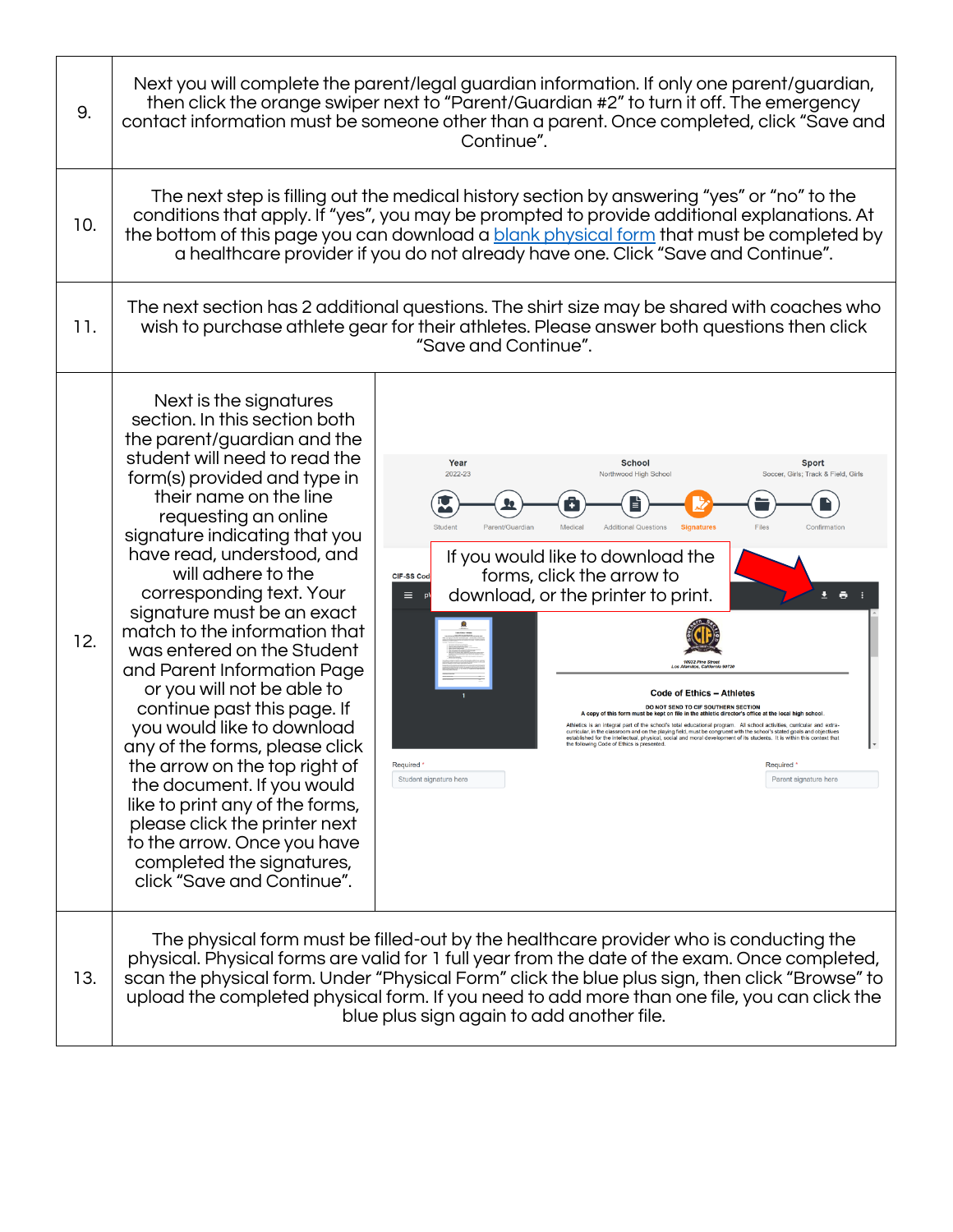| 9.  | Next you will complete the parent/legal guardian information. If only one parent/guardian,<br>then click the orange swiper next to "Parent/Guardian #2" to turn it off. The emergency<br>contact information must be someone other than a parent. Once completed, click "Save and<br>Continue".                                                                                                                                                                                                                                                                                                                                                                                                                                                                                                                  |                                                                                                                                                                                                                                                                                                                                                                                                                                                                                                                                                                                                                                                                                                                                                                                                                                                                                                                                                                                                                              |  |
|-----|------------------------------------------------------------------------------------------------------------------------------------------------------------------------------------------------------------------------------------------------------------------------------------------------------------------------------------------------------------------------------------------------------------------------------------------------------------------------------------------------------------------------------------------------------------------------------------------------------------------------------------------------------------------------------------------------------------------------------------------------------------------------------------------------------------------|------------------------------------------------------------------------------------------------------------------------------------------------------------------------------------------------------------------------------------------------------------------------------------------------------------------------------------------------------------------------------------------------------------------------------------------------------------------------------------------------------------------------------------------------------------------------------------------------------------------------------------------------------------------------------------------------------------------------------------------------------------------------------------------------------------------------------------------------------------------------------------------------------------------------------------------------------------------------------------------------------------------------------|--|
| 10. | The next step is filling out the medical history section by answering "yes" or "no" to the<br>conditions that apply. If "yes", you may be prompted to provide additional explanations. At<br>the bottom of this page you can download a blank physical form that must be completed by<br>a healthcare provider if you do not already have one. Click "Save and Continue".                                                                                                                                                                                                                                                                                                                                                                                                                                        |                                                                                                                                                                                                                                                                                                                                                                                                                                                                                                                                                                                                                                                                                                                                                                                                                                                                                                                                                                                                                              |  |
| 11. | The next section has 2 additional questions. The shirt size may be shared with coaches who<br>wish to purchase athlete gear for their athletes. Please answer both questions then click<br>"Save and Continue".                                                                                                                                                                                                                                                                                                                                                                                                                                                                                                                                                                                                  |                                                                                                                                                                                                                                                                                                                                                                                                                                                                                                                                                                                                                                                                                                                                                                                                                                                                                                                                                                                                                              |  |
| 12. | Next is the signatures<br>section. In this section both<br>the parent/guardian and the<br>student will need to read the<br>form(s) provided and type in<br>their name on the line<br>requesting an online<br>signature indicating that you<br>have read, understood, and<br>will adhere to the<br>corresponding text. Your<br>signature must be an exact<br>match to the information that<br>was entered on the Student<br>and Parent Information Page<br>or you will not be able to<br>continue past this page. If<br>you would like to download<br>any of the forms, please click<br>the arrow on the top right of<br>the document. If you would<br>like to print any of the forms,<br>please click the printer next<br>to the arrow. Once you have<br>completed the signatures,<br>click "Save and Continue". | Year<br><b>School</b><br><b>Sport</b><br>2022-23<br>Northwood High School<br>Soccer, Girls; Track & Field, Girls<br>Student<br>Medica<br>Parent/Guardiar<br><b>Additional Questions</b><br><b>Signatures</b><br>Confirmation<br>If you would like to download the<br>forms, click the arrow to<br>CIF-SS Code<br>download, or the printer to print.<br>Ξ.<br>土 春<br><b>Code of Ethics - Athletes</b><br>DO NOT SEND TO CIF SOUTHERN SECTION<br>A copy of this form must be kept on file in the athletic director's office at the local high scho<br>an integral part of the school's total educational program. All school activities, curricular and extra-<br>curricular, in the classroom and on the playing field, must be congruent with the school's stated goals and objectives<br>established for the intellectual, physical, social and moral development of its students. It is within<br>the following Code of Ethics is presented<br>Required *<br>Required '<br>Student signature here<br>Parent signature here |  |
| 13. | The physical form must be filled-out by the healthcare provider who is conducting the<br>physical. Physical forms are valid for 1 full year from the date of the exam. Once completed,<br>scan the physical form. Under "Physical Form" click the blue plus sign, then click "Browse" to<br>upload the completed physical form. If you need to add more than one file, you can click the<br>blue plus sign again to add another file.                                                                                                                                                                                                                                                                                                                                                                            |                                                                                                                                                                                                                                                                                                                                                                                                                                                                                                                                                                                                                                                                                                                                                                                                                                                                                                                                                                                                                              |  |